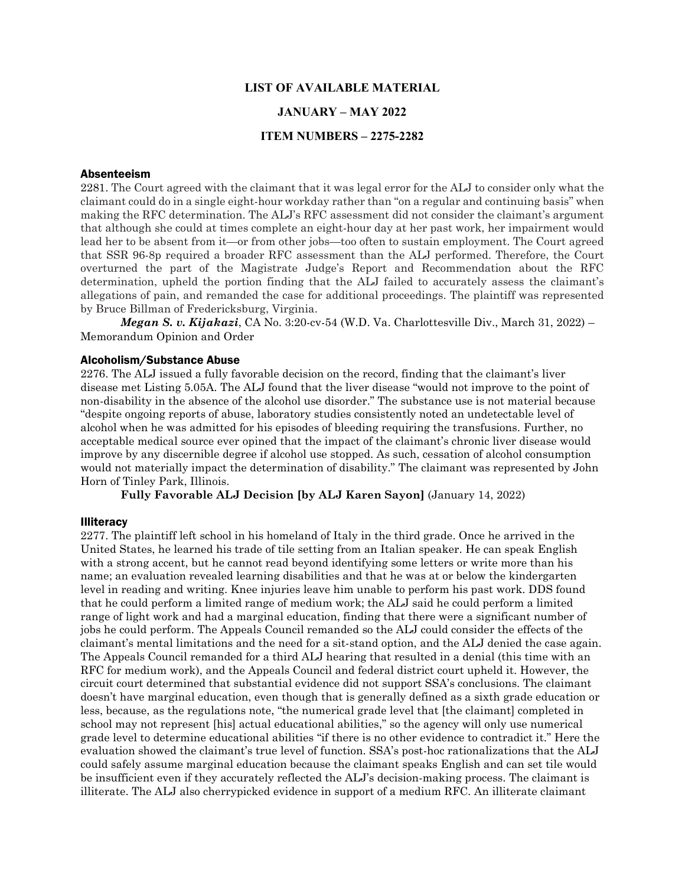## **LIST OF AVAILABLE MATERIAL**

## **JANUARY – MAY 2022**

## **ITEM NUMBERS – 2275-2282**

#### Absenteeism

2281. The Court agreed with the claimant that it was legal error for the ALJ to consider only what the claimant could do in a single eight-hour workday rather than "on a regular and continuing basis" when making the RFC determination. The ALJ's RFC assessment did not consider the claimant's argument that although she could at times complete an eight-hour day at her past work, her impairment would lead her to be absent from it—or from other jobs—too often to sustain employment. The Court agreed that SSR 96-8p required a broader RFC assessment than the ALJ performed. Therefore, the Court overturned the part of the Magistrate Judge's Report and Recommendation about the RFC determination, upheld the portion finding that the ALJ failed to accurately assess the claimant's allegations of pain, and remanded the case for additional proceedings. The plaintiff was represented by Bruce Billman of Fredericksburg, Virginia.

*Megan S. v. Kijakazi*, CA No. 3:20-cv-54 (W.D. Va. Charlottesville Div., March 31, 2022) – Memorandum Opinion and Order

#### Alcoholism/Substance Abuse

2276. The ALJ issued a fully favorable decision on the record, finding that the claimant's liver disease met Listing 5.05A. The ALJ found that the liver disease "would not improve to the point of non-disability in the absence of the alcohol use disorder." The substance use is not material because "despite ongoing reports of abuse, laboratory studies consistently noted an undetectable level of alcohol when he was admitted for his episodes of bleeding requiring the transfusions. Further, no acceptable medical source ever opined that the impact of the claimant's chronic liver disease would improve by any discernible degree if alcohol use stopped. As such, cessation of alcohol consumption would not materially impact the determination of disability." The claimant was represented by John Horn of Tinley Park, Illinois.

**Fully Favorable ALJ Decision [by ALJ Karen Sayon]** (January 14, 2022)

#### **Illiteracy**

2277. The plaintiff left school in his homeland of Italy in the third grade. Once he arrived in the United States, he learned his trade of tile setting from an Italian speaker. He can speak English with a strong accent, but he cannot read beyond identifying some letters or write more than his name; an evaluation revealed learning disabilities and that he was at or below the kindergarten level in reading and writing. Knee injuries leave him unable to perform his past work. DDS found that he could perform a limited range of medium work; the ALJ said he could perform a limited range of light work and had a marginal education, finding that there were a significant number of jobs he could perform. The Appeals Council remanded so the ALJ could consider the effects of the claimant's mental limitations and the need for a sit-stand option, and the ALJ denied the case again. The Appeals Council remanded for a third ALJ hearing that resulted in a denial (this time with an RFC for medium work), and the Appeals Council and federal district court upheld it. However, the circuit court determined that substantial evidence did not support SSA's conclusions. The claimant doesn't have marginal education, even though that is generally defined as a sixth grade education or less, because, as the regulations note, "the numerical grade level that [the claimant] completed in school may not represent [his] actual educational abilities," so the agency will only use numerical grade level to determine educational abilities "if there is no other evidence to contradict it." Here the evaluation showed the claimant's true level of function. SSA's post-hoc rationalizations that the ALJ could safely assume marginal education because the claimant speaks English and can set tile would be insufficient even if they accurately reflected the ALJ's decision-making process. The claimant is illiterate. The ALJ also cherrypicked evidence in support of a medium RFC. An illiterate claimant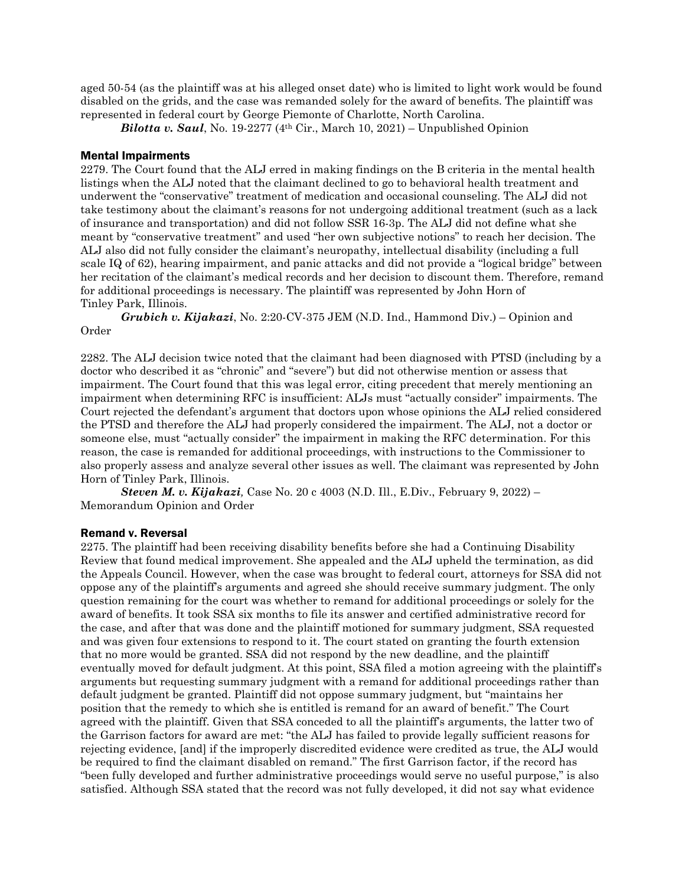aged 50-54 (as the plaintiff was at his alleged onset date) who is limited to light work would be found disabled on the grids, and the case was remanded solely for the award of benefits. The plaintiff was represented in federal court by George Piemonte of Charlotte, North Carolina.

*Bilotta v. Saul*, No. 19-2277 (4th Cir., March 10, 2021) – Unpublished Opinion

# Mental Impairments

2279. The Court found that the ALJ erred in making findings on the B criteria in the mental health listings when the ALJ noted that the claimant declined to go to behavioral health treatment and underwent the "conservative" treatment of medication and occasional counseling. The ALJ did not take testimony about the claimant's reasons for not undergoing additional treatment (such as a lack of insurance and transportation) and did not follow SSR 16-3p. The ALJ did not define what she meant by "conservative treatment" and used "her own subjective notions" to reach her decision. The ALJ also did not fully consider the claimant's neuropathy, intellectual disability (including a full scale IQ of 62), hearing impairment, and panic attacks and did not provide a "logical bridge" between her recitation of the claimant's medical records and her decision to discount them. Therefore, remand for additional proceedings is necessary. The plaintiff was represented by John Horn of Tinley Park, Illinois.

*Grubich v. Kijakazi*, No. 2:20-CV-375 JEM (N.D. Ind., Hammond Div.) – Opinion and Order

2282. The ALJ decision twice noted that the claimant had been diagnosed with PTSD (including by a doctor who described it as "chronic" and "severe") but did not otherwise mention or assess that impairment. The Court found that this was legal error, citing precedent that merely mentioning an impairment when determining RFC is insufficient: ALJs must "actually consider" impairments. The Court rejected the defendant's argument that doctors upon whose opinions the ALJ relied considered the PTSD and therefore the ALJ had properly considered the impairment. The ALJ, not a doctor or someone else, must "actually consider" the impairment in making the RFC determination. For this reason, the case is remanded for additional proceedings, with instructions to the Commissioner to also properly assess and analyze several other issues as well. The claimant was represented by John Horn of Tinley Park, Illinois.

*Steven M. v. Kijakazi,* Case No. 20 c 4003 (N.D. Ill., E.Div., February 9, 2022) – Memorandum Opinion and Order

## Remand v. Reversal

2275. The plaintiff had been receiving disability benefits before she had a Continuing Disability Review that found medical improvement. She appealed and the ALJ upheld the termination, as did the Appeals Council. However, when the case was brought to federal court, attorneys for SSA did not oppose any of the plaintiff's arguments and agreed she should receive summary judgment. The only question remaining for the court was whether to remand for additional proceedings or solely for the award of benefits. It took SSA six months to file its answer and certified administrative record for the case, and after that was done and the plaintiff motioned for summary judgment, SSA requested and was given four extensions to respond to it. The court stated on granting the fourth extension that no more would be granted. SSA did not respond by the new deadline, and the plaintiff eventually moved for default judgment. At this point, SSA filed a motion agreeing with the plaintiff's arguments but requesting summary judgment with a remand for additional proceedings rather than default judgment be granted. Plaintiff did not oppose summary judgment, but "maintains her position that the remedy to which she is entitled is remand for an award of benefit." The Court agreed with the plaintiff. Given that SSA conceded to all the plaintiff's arguments, the latter two of the Garrison factors for award are met: "the ALJ has failed to provide legally sufficient reasons for rejecting evidence, [and] if the improperly discredited evidence were credited as true, the ALJ would be required to find the claimant disabled on remand." The first Garrison factor, if the record has "been fully developed and further administrative proceedings would serve no useful purpose," is also satisfied. Although SSA stated that the record was not fully developed, it did not say what evidence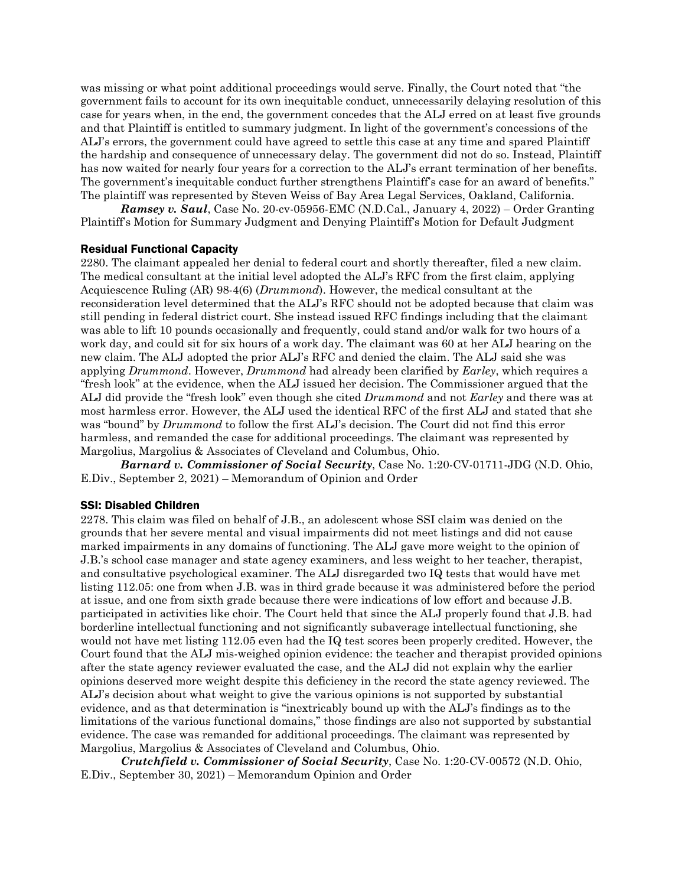was missing or what point additional proceedings would serve. Finally, the Court noted that "the government fails to account for its own inequitable conduct, unnecessarily delaying resolution of this case for years when, in the end, the government concedes that the ALJ erred on at least five grounds and that Plaintiff is entitled to summary judgment. In light of the government's concessions of the ALJ's errors, the government could have agreed to settle this case at any time and spared Plaintiff the hardship and consequence of unnecessary delay. The government did not do so. Instead, Plaintiff has now waited for nearly four years for a correction to the ALJ's errant termination of her benefits. The government's inequitable conduct further strengthens Plaintiff's case for an award of benefits." The plaintiff was represented by Steven Weiss of Bay Area Legal Services, Oakland, California.

*Ramsey v. Saul*, Case No. 20-cv-05956-EMC (N.D.Cal., January 4, 2022) – Order Granting Plaintiff's Motion for Summary Judgment and Denying Plaintiff's Motion for Default Judgment

## Residual Functional Capacity

2280. The claimant appealed her denial to federal court and shortly thereafter, filed a new claim. The medical consultant at the initial level adopted the ALJ's RFC from the first claim, applying Acquiescence Ruling (AR) 98-4(6) (*Drummond*). However, the medical consultant at the reconsideration level determined that the ALJ's RFC should not be adopted because that claim was still pending in federal district court. She instead issued RFC findings including that the claimant was able to lift 10 pounds occasionally and frequently, could stand and/or walk for two hours of a work day, and could sit for six hours of a work day. The claimant was 60 at her ALJ hearing on the new claim. The ALJ adopted the prior ALJ's RFC and denied the claim. The ALJ said she was applying *Drummond*. However, *Drummond* had already been clarified by *Earley*, which requires a "fresh look" at the evidence, when the ALJ issued her decision. The Commissioner argued that the ALJ did provide the "fresh look" even though she cited *Drummond* and not *Earley* and there was at most harmless error. However, the ALJ used the identical RFC of the first ALJ and stated that she was "bound" by *Drummond* to follow the first ALJ's decision. The Court did not find this error harmless, and remanded the case for additional proceedings. The claimant was represented by Margolius, Margolius & Associates of Cleveland and Columbus, Ohio.

*Barnard v. Commissioner of Social Security*, Case No. 1:20-CV-01711-JDG (N.D. Ohio, E.Div., September 2, 2021) – Memorandum of Opinion and Order

## SSI: Disabled Children

2278. This claim was filed on behalf of J.B., an adolescent whose SSI claim was denied on the grounds that her severe mental and visual impairments did not meet listings and did not cause marked impairments in any domains of functioning. The ALJ gave more weight to the opinion of J.B.'s school case manager and state agency examiners, and less weight to her teacher, therapist, and consultative psychological examiner. The ALJ disregarded two IQ tests that would have met listing 112.05: one from when J.B. was in third grade because it was administered before the period at issue, and one from sixth grade because there were indications of low effort and because J.B. participated in activities like choir. The Court held that since the ALJ properly found that J.B. had borderline intellectual functioning and not significantly subaverage intellectual functioning, she would not have met listing 112.05 even had the IQ test scores been properly credited. However, the Court found that the ALJ mis-weighed opinion evidence: the teacher and therapist provided opinions after the state agency reviewer evaluated the case, and the ALJ did not explain why the earlier opinions deserved more weight despite this deficiency in the record the state agency reviewed. The ALJ's decision about what weight to give the various opinions is not supported by substantial evidence, and as that determination is "inextricably bound up with the ALJ's findings as to the limitations of the various functional domains," those findings are also not supported by substantial evidence. The case was remanded for additional proceedings. The claimant was represented by Margolius, Margolius & Associates of Cleveland and Columbus, Ohio.

*Crutchfield v. Commissioner of Social Security*, Case No. 1:20-CV-00572 (N.D. Ohio, E.Div., September 30, 2021) – Memorandum Opinion and Order